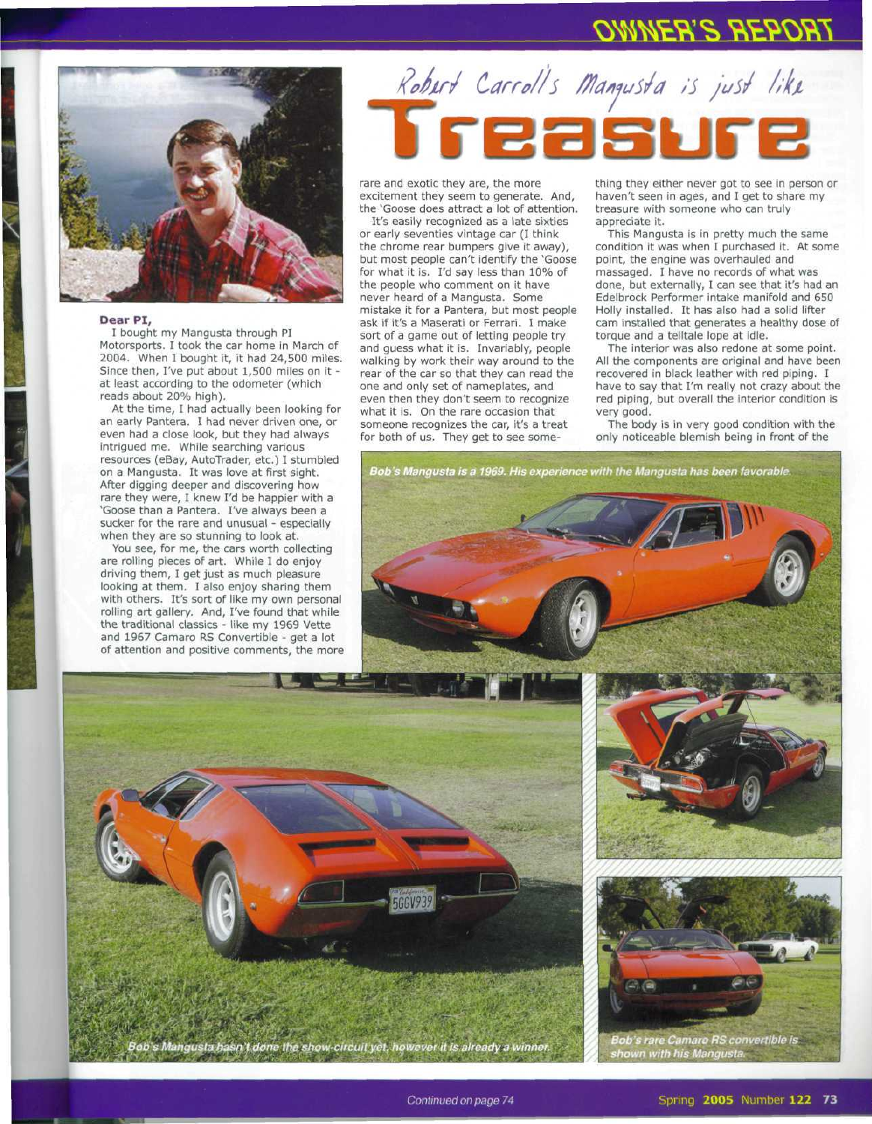## **OWNER'S REPORT**



## **Dear PI,**

I bought my Mangusta through PI Motorsports. I took the car home in March of 2004. When I bought it, it had 24,500 miles. Since then, I've put about 1,500 miles on it at least according to the odometer (which reads about 20% high).

At the time, I had actually been looking for an early Pantera. I had never driven one, or even had a close look, but they had always intrigued me. While searching various resources (eBay, AutoTrader, etc.) I stumbled on a Mangusta. It was love at first sight. After digging deeper and discovering how rare they were, I knew I'd be happier with a "Goose than a Pantera. I've always been a sucker for the rare and unusual - especially when they are so stunning to look at.

You see, for me, the cars worth collecting are rolling pieces of art. While I do enjoy driving them, I get just as much pleasure looking at them. I also enjoy sharing them with others. It's sort of like my own personal rolling art gallery. And, I've found that while the traditional classics - like my 1969 Vette and 1967 Camaro RS Convertible - get a lot of attention and positive comments, the more

## Robert Carroll's Mangusta is just like

rare and exotic they are, the more excitement they seem to generate. And, the 'Goose does attract a lot of attention.

It's easily recognized as a late sixties or early seventies vintage car (I think the chrome rear bumpers give it away), but most people can't identify the 'Goose for what it is. I'd say less than 10% of the people who comment on it have never heard of a Mangusta. Some mistake it for a Pantera, but most people ask if it's a Maserati or Ferrari. I make sort of a game out of letting people try and guess what it is. Invariably, people walking by work their way around to the rear of the car so that they can read the one and only set of nameplates, and even then they don't seem to recognize what it is. On the rare occasion that someone recognizes the car, it's a treat for both of us. They get to see something they either never got to see in person or haven't seen in ages, and I get to share my treasure with someone who can truly appreciate it.

This Mangusta is in pretty much the same condition it was when I purchased it. At some point, the engine was overhauled and massaged. I have no records of what was done, but externally, I can see that it's had an Edelbrock Performer intake manifold and 650 Holly installed. It has also had a solid lifter cam installed that generates a healthy dose of torque and a telltale lope at idle.

The interior was also redone at some point. All the components are original and have been recovered in black leather with red piping. I have to say that I'm really not crazy about the red piping, but overall the interior condition is very good.

The body is in very good condition with the only noticeable blemish being in front of the

Bob's Mangusta is a 1969. His experience with the Mangusta has been favorable.





Bob's rare Camaro RS convertible is<br>shown with his Mangusta.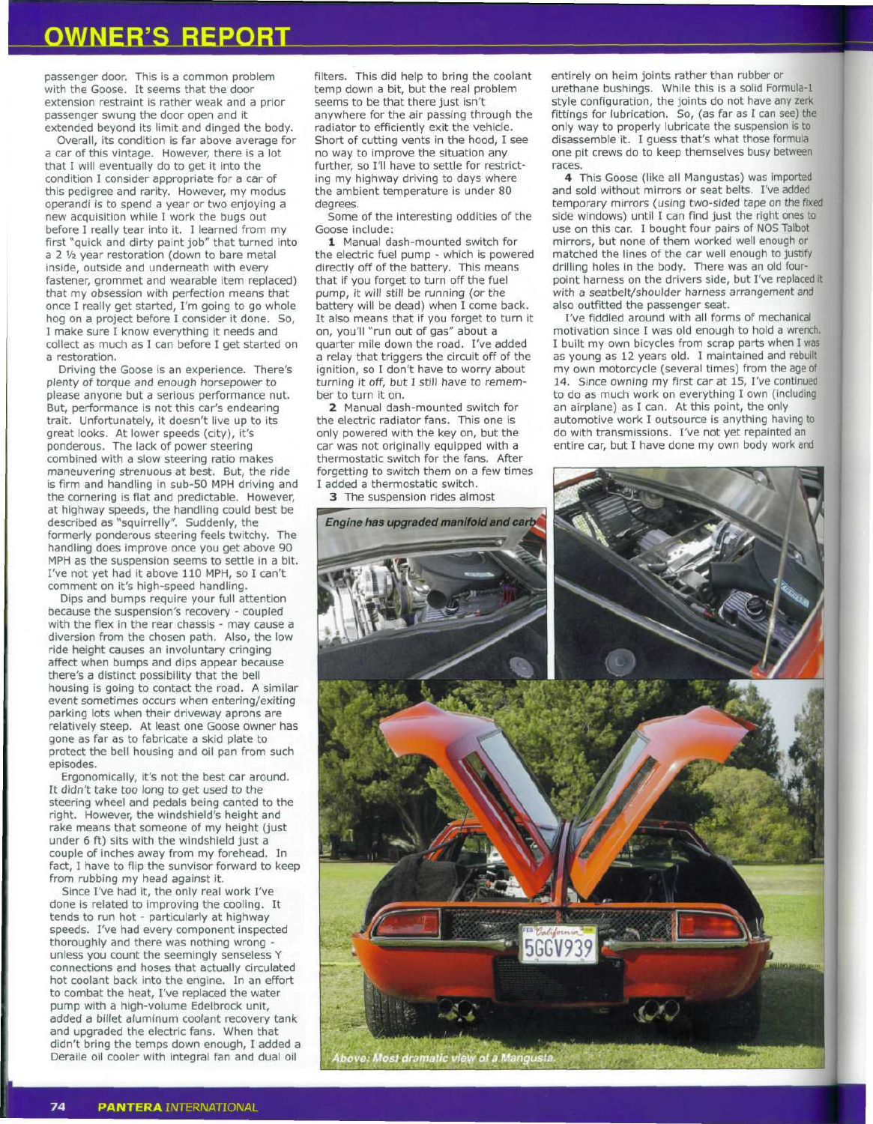## **OWNER'S REPORT**

passenger door. This is a common problem with the Goose. It seems that the door extension restraint is rather weak and a prior passenger swung the door open and it extended beyond its limit and dinged the body.

Overall, its condition is far above average for a car of this vintage. However, there is a lot that I will eventually do to get it into the condition I consider appropriate for a car of this pedigree and rarity. However, my modus operandi is to spend a year or two enjoying a new acquisition while I work the bugs out before I really tear into it. I learned from my first "quick and dirty paint job" that turned into a 2 1/2 year restoration (down to bare metal inside, outside and underneath with every fastener, grommet and wearable item replaced) that my obsession with perfection means that once I really get started, I'm going to go whole hog on a project before I consider it done. So, I make sure I know everything it needs and collect as much as I can before I get started on a restoration.

Driving the Goose is an experience. There's plenty of torque and enough horsepower to please anyone but a serious performance nut. But, performance is not this car's endearing trait. Unfortunately, it doesn't live up to its great looks. At lower speeds (city), it's ponderous. The lack of power steering combined with a slow steering ratio makes maneuvering strenuous at best. But, the ride is firm and handling in sub-50 MPH driving and the cornering is flat and predictable. However, at highway speeds, the handling could best be described as "squirrelly". Suddenly, the formerly ponderous steering feels twitchy. The handling does improve once you get above 90 MPH as the suspension seems to settle in a bit. I've not yet had it above 110 MPH, so I can't comment on it's high-speed handling.

Dips and bumps require your full attention because the suspension's recovery - coupled with the flex in the rear chassis - may cause a diversion from the chosen path. Also, the low ride height causes an involuntary cringing affect when bumps and dips appear because there's a distinct possibility that the bell housing is going to contact the road. A similar event sometimes occurs when entering/exiting parking lots when their driveway aprons are relatively steep. At least one Goose owner has gone as far as to fabricate a skid plate to protect the bell housing and oil pan from such episodes.

Ergonomically, it's not the best car around. It didn't take too long to get used to the steering wheel and pedals being canted to the right. However, the windshield's height and rake means that someone of my height (just under 6 ft) sits with the windshield just a couple of inches away from my forehead. In fact, I have to flip the sunvisor forward to keep from rubbing my head against it.

Since I've had it, the only real work I've done is related to improving the cooling. It tends to run hot - particularly at highway speeds. I've had every component inspected thoroughly and there was nothing wrong unless you count the seemingly senseless Y connections and hoses that actually circulated hot coolant back into the engine. In an effort to combat the heat, I've replaced the water pump with a high-volume Edelbrock unit, added a billet aluminum coolant recovery tank and upgraded the electric fans. When that didn't bring the temps down enough, I added a Deraile oil cooler with integral fan and dual oil

filters. This did help to bring the coolant temp down a bit, but the real problem seems to be that there just isn't anywhere for the air passing through the radiator to efficiently exit the vehicle. Short of cutting vents in the hood, I see no way to improve the situation any further, so I'll have to settle for restricting my highway driving to days where the ambient temperature is under 80 degrees.

Some of the interesting oddities of the Goose include:

1 Manual dash-mounted switch for the electric fuel pump - which is powered directly off of the battery. This means that if you forget to turn off the fuel pump, it will still be running (or the battery will be dead) when I come back. It also means that if you forget to turn it on, you'll "run out of gas" about a quarter mile down the road. I've added a relay that triggers the circuit off of the ignition, so I don't have to worry about turning it off, but I still have to remember to turn it on.

2 Manual dash-mounted switch for the electric radiator fans. This one is only powered with the key on, but the car was not originally equipped with a thermostatic switch for the fans. After forgetting to switch them on a few times I added a thermostatic switch.

entirely on heim joints rather than rubber or urethane bushings. While this is a solid Formula-1 style configuration, the joints do not have any zerk fittings for lubrication. So, (as far as I can see) the only way to properly lubricate the suspension is to disassemble it. I guess that's what those formula one pit crews do to keep themselves busy between races.

4 This Goose (like all Mangustas) was imported and sold without mirrors or seat belts. I've added temporary mirrors (using two-sided tape on the fixed side windows) until I can find just the right ones to use on this car. I bought four pairs of NOS Talbot mirrors, but none of them worked well enough or matched the lines of the car well enough to justify drilling holes in the body. There was an old fourpoint harness on the drivers side, but I've replaced it with a seatbelt/shoulder harness arrangement and also outfitted the passenger seat.

I've fiddled around with all forms of mechanical motivation since I was old enough to hold a wrench. I built my own bicycles from scrap parts when I was as young as 12 years old. I maintained and rebuilt my own motorcycle (several times) from the age of 14. Since owning my first car at 15, I've continued to do as much work on everything I own (including an airplane) as I can. At this point, the only automotive work I outsource is anything having to do with transmissions. I've not yet repainted an entire car, but I have done my own body work and